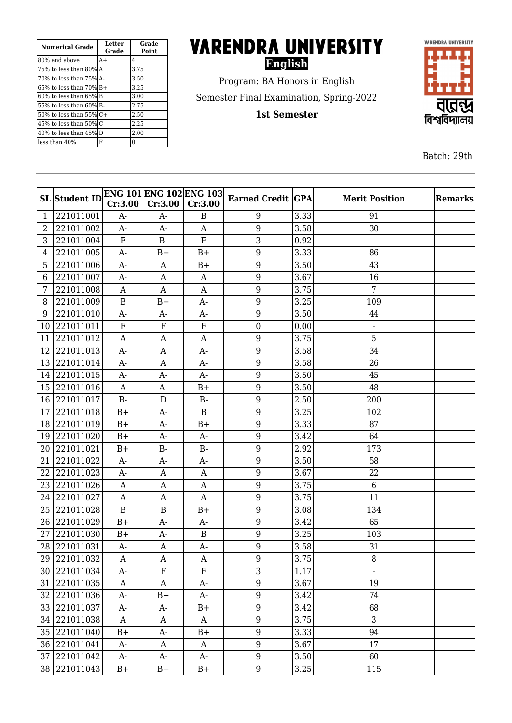| <b>Numerical Grade</b>   | <b>Letter</b><br>Grade | Grade<br><b>Point</b> |
|--------------------------|------------------------|-----------------------|
| 180% and above           | $A+$                   | 4                     |
| 175% to less than 80%IA  |                        | 3.75                  |
| 170% to less than 75%1A- |                        | 3.50                  |
| 165% to less than 70% B+ |                        | 3.25                  |
| 160% to less than 65%IB  |                        | 3.00                  |
| 155% to less than 60%IB- |                        | 2.75                  |
| l50% to less than 55% C+ |                        | 2.50                  |
| 45% to less than 50%lC   |                        | 2.25                  |
| 40% to less than 45% D   |                        | 2.00                  |
| lless than 40%           | F                      | 0                     |

## **VARENDRA UNIVERSITY English**

Program: BA Honors in English Semester Final Examination, Spring-2022

**1st Semester**



Batch: 29th

|                | <b>SL</b> Student ID | Cr:3.00          | <b>ENG 101 ENG 102 ENG 103</b><br>Cr:3.00 | Cr:3.00                   | <b>Earned Credit GPA</b> |      | <b>Merit Position</b>    | Remarks |
|----------------|----------------------|------------------|-------------------------------------------|---------------------------|--------------------------|------|--------------------------|---------|
| 1              | 221011001            | $A-$             | $A-$                                      | B                         | 9                        | 3.33 | 91                       |         |
| $\overline{2}$ | 221011002            | $A-$             | $A-$                                      | A                         | 9                        | 3.58 | 30                       |         |
| 3              | 221011004            | ${\bf F}$        | $B-$                                      | ${\bf F}$                 | 3                        | 0.92 | $\overline{\phantom{a}}$ |         |
| 4              | 221011005            | $A-$             | $B+$                                      | $B+$                      | 9                        | 3.33 | 86                       |         |
| 5              | 221011006            | $A-$             | A                                         | $B+$                      | 9                        | 3.50 | 43                       |         |
| 6              | 221011007            | A-               | $\mathbf{A}$                              | A                         | 9                        | 3.67 | 16                       |         |
| 7              | 221011008            | A                | $\mathbf{A}$                              | A                         | 9                        | 3.75 | 7                        |         |
| 8              | 221011009            | $\, {\bf B}$     | $B+$                                      | A-                        | 9                        | 3.25 | 109                      |         |
| 9              | 221011010            | $A-$             | $A-$                                      | A-                        | 9                        | 3.50 | 44                       |         |
| 10             | 221011011            | $\rm F$          | ${\bf F}$                                 | ${\bf F}$                 | $\boldsymbol{0}$         | 0.00 | $\blacksquare$           |         |
| 11             | 221011012            | $\mathbf{A}$     | A                                         | A                         | 9                        | 3.75 | 5                        |         |
| 12             | 221011013            | $A-$             | A                                         | $A-$                      | 9                        | 3.58 | 34                       |         |
| 13             | 221011014            | $A-$             | A                                         | $A-$                      | 9                        | 3.58 | 26                       |         |
| 14             | 221011015            | $A-$             | $A-$                                      | $A-$                      | 9                        | 3.50 | 45                       |         |
| 15             | 221011016            | A                | $A-$                                      | $B+$                      | 9                        | 3.50 | 48                       |         |
| 16             | 221011017            | $B -$            | D                                         | $B -$                     | 9                        | 2.50 | 200                      |         |
| 17             | 221011018            | $B+$             | $A-$                                      | $\mathbf B$               | 9                        | 3.25 | 102                      |         |
| 18             | 221011019            | $B+$             | $A-$                                      | $B+$                      | 9                        | 3.33 | 87                       |         |
| 19             | 221011020            | $B+$             | $A-$                                      | $A-$                      | 9                        | 3.42 | 64                       |         |
| 20             | 221011021            | $B+$             | $B -$                                     | $B -$                     | 9                        | 2.92 | 173                      |         |
| 21             | 221011022            | $A-$             | $A-$                                      | A-                        | 9                        | 3.50 | 58                       |         |
| 22             | 221011023            | $A-$             | A                                         | A                         | 9                        | 3.67 | 22                       |         |
| 23             | 221011026            | A                | A                                         | A                         | 9                        | 3.75 | 6                        |         |
| 24             | 221011027            | $\mathbf{A}$     | $\mathbf{A}$                              | A                         | 9                        | 3.75 | 11                       |         |
| 25             | 221011028            | $\mathbf B$      | $\, {\bf B}$                              | $B+$                      | 9                        | 3.08 | 134                      |         |
| 26             | 221011029            | $B+$             | $A-$                                      | $A-$                      | 9                        | 3.42 | 65                       |         |
| 27             | 221011030            | $B+$             | $A-$                                      | B                         | 9                        | 3.25 | 103                      |         |
| 28             | 221011031            | $A-$             | A                                         | $A-$                      | $9\,$                    | 3.58 | 31                       |         |
| 29             | 221011032            | $\mathbf{A}$     | A                                         | A                         | 9                        | 3.75 | 8                        |         |
|                | 30 221011034         | A-               | ${\rm F}$                                 | $\boldsymbol{\mathrm{F}}$ | 3                        | 1.17 | $\blacksquare$           |         |
|                | 31 221011035         | A                | A                                         | $A-$                      | 9                        | 3.67 | 19                       |         |
| 32             | 221011036            | A-               | $B+$                                      | A-                        | 9                        | 3.42 | 74                       |         |
|                | 33 221011037         | A-               | A-                                        | $B+$                      | $\boldsymbol{9}$         | 3.42 | 68                       |         |
|                | 34 221011038         | $\boldsymbol{A}$ | A                                         | A                         | 9                        | 3.75 | 3                        |         |
|                | 35 221011040         | $B+$             | A-                                        | $B+$                      | $\boldsymbol{9}$         | 3.33 | 94                       |         |
|                | 36 221011041         | A-               | A                                         | A                         | 9                        | 3.67 | 17                       |         |
|                | 37 221011042         | $A-$             | $A-$                                      | A-                        | 9                        | 3.50 | 60                       |         |
|                | 38 221011043         | $B+$             | $B+$                                      | $B+$                      | $9\phantom{.0}$          | 3.25 | 115                      |         |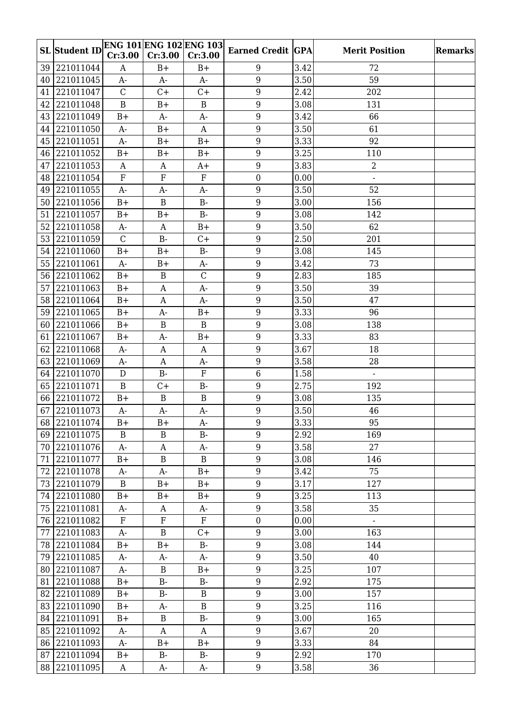|    | <b>SL</b> Student ID |               | <b>ENG 101 ENG 102 ENG 103</b> |               | <b>Earned Credit GPA</b> |      | <b>Merit Position</b> | Remarks |
|----|----------------------|---------------|--------------------------------|---------------|--------------------------|------|-----------------------|---------|
|    |                      | Cr:3.00       | Cr:3.00                        | Cr:3.00       |                          |      |                       |         |
| 39 | 221011044            | A             | $B+$                           | $B+$          | 9                        | 3.42 | 72                    |         |
| 40 | 221011045            | A-            | A-                             | $A-$          | 9                        | 3.50 | 59                    |         |
| 41 | 221011047            | $\mathcal{C}$ | $C +$                          | $C +$         | 9                        | 2.42 | 202                   |         |
| 42 | 221011048            | $\mathbf B$   | $B+$                           | $\bf{B}$      | 9                        | 3.08 | 131                   |         |
| 43 | 221011049            | $B+$          | $A-$                           | $A-$          | 9                        | 3.42 | 66                    |         |
| 44 | 221011050            | $A-$          | $B+$                           | A             | 9                        | 3.50 | 61                    |         |
| 45 | 221011051            | A-            | $B+$                           | $B+$          | 9                        | 3.33 | 92                    |         |
| 46 | 221011052            | $B+$          | $B+$                           | $B+$          | 9                        | 3.25 | 110                   |         |
| 47 | 221011053            | $\mathbf{A}$  | A                              | $A+$          | 9                        | 3.83 | $\overline{2}$        |         |
| 48 | 221011054            | ${\bf F}$     | ${\bf F}$                      | ${\bf F}$     | $\boldsymbol{0}$         | 0.00 | $\overline{a}$        |         |
| 49 | 221011055            | $A-$          | $A -$                          | $A-$          | 9                        | 3.50 | 52                    |         |
| 50 | 221011056            | $B+$          | $\mathbf B$                    | $B -$         | 9                        | 3.00 | 156                   |         |
| 51 | 221011057            | $B+$          | $B+$                           | <b>B-</b>     | 9                        | 3.08 | 142                   |         |
| 52 | 221011058            | $A-$          | $\mathbf{A}$                   | $B+$          | 9                        | 3.50 | 62                    |         |
| 53 | 221011059            | $\mathcal{C}$ | $B -$                          | $C +$         | 9                        | 2.50 | 201                   |         |
| 54 | 221011060            | $B+$          | $B+$                           | <b>B-</b>     | 9                        | 3.08 | 145                   |         |
| 55 | 221011061            | $A-$          | $B+$                           | A-            | 9                        | 3.42 | 73                    |         |
| 56 | 221011062            | $B+$          | $\, {\bf B}$                   | $\mathcal{C}$ | $\boldsymbol{9}$         | 2.83 | 185                   |         |
| 57 | 221011063            | $B+$          | A                              | $A-$          | 9                        | 3.50 | 39                    |         |
|    | 58 221011064         | $B+$          | A                              | $A-$          | 9                        | 3.50 | 47                    |         |
| 59 | 221011065            | $B+$          | A-                             | $B+$          | 9                        | 3.33 | 96                    |         |
| 60 | 221011066            | $B+$          | $\, {\bf B}$                   | $\mathbf B$   | 9                        | 3.08 | 138                   |         |
| 61 | 221011067            | $B+$          | $A-$                           | $B+$          | $9\,$                    | 3.33 | 83                    |         |
| 62 | 221011068            | $A-$          | A                              | A             | 9                        | 3.67 | 18                    |         |
| 63 | 221011069            | $A-$          | $\mathbf{A}$                   | $A-$          | 9                        | 3.58 | 28                    |         |
|    | 64 221011070         | $\mathbf D$   | $B -$                          | ${\bf F}$     | $6\phantom{1}$           | 1.58 |                       |         |
|    | 65 221011071         | $\mathbf B$   | $C +$                          | $B -$         | 9                        | 2.75 | 192                   |         |
|    | 66 221011072         | $B+$          | $\mathbf B$                    | $\bf{B}$      | 9                        | 3.08 | 135                   |         |
| 67 | 221011073            | A-            | A-                             | A-            | 9                        | 3.50 | 46                    |         |
|    | 68 221011074         | $B+$          | $B+$                           | $A-$          | $\boldsymbol{9}$         | 3.33 | $\rm 95$              |         |
|    | 69 221011075         | B             | $\, {\bf B}$                   | <b>B-</b>     | 9                        | 2.92 | 169                   |         |
|    | 70 221011076         | A-            | A                              | A-            | 9                        | 3.58 | 27                    |         |
| 71 | 221011077            | $B+$          | $\, {\bf B}$                   | $\mathbf{B}$  | 9                        | 3.08 | 146                   |         |
| 72 | 221011078            | A-            | $A-$                           | $B+$          | 9                        | 3.42 | 75                    |         |
|    | 73 221011079         | B             | $B+$                           | $B+$          | 9                        | 3.17 | 127                   |         |
|    | 74 221011080         | $B+$          | $B+$                           | $B+$          | $\boldsymbol{9}$         | 3.25 | 113                   |         |
|    | 75 221011081         | A-            | A                              | A-            | $\boldsymbol{9}$         | 3.58 | 35                    |         |
|    | 76 221011082         | $\mathbf F$   | ${\bf F}$                      | $\mathbf{F}$  | $\overline{0}$           | 0.00 | $\omega$              |         |
| 77 | 221011083            | $A-$          | $\, {\bf B}$                   | $C+$          | $9\phantom{.0}$          | 3.00 | 163                   |         |
|    | 78 221011084         | $B+$          | $B+$                           | $B-$          | 9                        | 3.08 | 144                   |         |
|    | 79 221011085         | A-            | A-                             | $A-$          | 9                        | 3.50 | 40                    |         |
|    | 80 221011087         | A-            | $\, {\bf B}$                   | $B+$          | 9                        | 3.25 | 107                   |         |
|    | 81 221011088         | $B+$          | $B-$                           | $B-$          | 9                        | 2.92 | 175                   |         |
|    | 82 221011089         | $B+$          | $B-$                           | $\mathbf B$   | 9                        | 3.00 | 157                   |         |
|    | 83 221011090         | $B+$          | A-                             | $\, {\bf B}$  | 9                        | 3.25 | 116                   |         |
|    | 84 221011091         | $B+$          | $\, {\bf B}$                   | $B-$          | 9                        | 3.00 | 165                   |         |
|    | 85 221011092         | A-            | $\boldsymbol{A}$               | A             | $\boldsymbol{9}$         | 3.67 | 20                    |         |
|    | 86 221011093         | A-            | $B+$                           | $B+$          | 9                        | 3.33 | 84                    |         |
|    | 87 221011094         | $B+$          | $B-$                           | $B-$          | 9                        | 2.92 | 170                   |         |
|    | 88 221011095         | $\mathbf{A}$  | $A-$                           | $A-$          | $9\phantom{.0}$          | 3.58 | 36                    |         |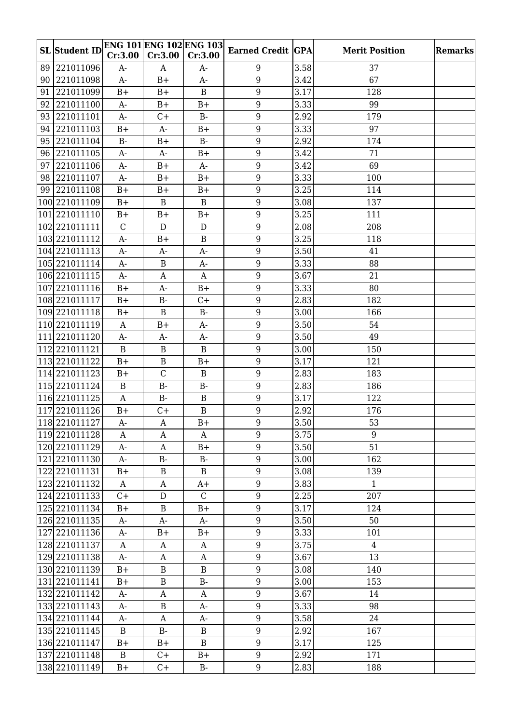|    |                        |              | <b>ENG 101 ENG 102 ENG 103</b> |              |                          |      |                       |                |
|----|------------------------|--------------|--------------------------------|--------------|--------------------------|------|-----------------------|----------------|
|    | <b>SL</b> Student ID   | Cr:3.00      | Cr:3.00                        | Cr:3.00      | <b>Earned Credit GPA</b> |      | <b>Merit Position</b> | <b>Remarks</b> |
|    | 89 221011096           | A-           | A                              | A-           | 9                        | 3.58 | 37                    |                |
| 90 | 221011098              | $A-$         | $B+$                           | A-           | 9                        | 3.42 | 67                    |                |
| 91 | 221011099              | $B+$         | $B+$                           | B            | 9                        | 3.17 | 128                   |                |
| 92 | 221011100              | $A-$         | $B+$                           | $B+$         | 9                        | 3.33 | 99                    |                |
| 93 | 221011101              | $A-$         | C+                             | $B-$         | $\boldsymbol{9}$         | 2.92 | 179                   |                |
|    | 94 221011103           | $B+$         | $A-$                           | $B+$         | 9                        | 3.33 | 97                    |                |
|    | 95 221011104           | $B -$        | $B+$                           | <b>B-</b>    | $\boldsymbol{9}$         | 2.92 | 174                   |                |
|    | 96 221011105           | $A-$         | $A-$                           | $B+$         | 9                        | 3.42 | 71                    |                |
| 97 | 221011106              | $A-$         | $B+$                           | $A-$         | 9                        | 3.42 | 69                    |                |
|    | 98 221011107           | $A-$         | $B+$                           | $B+$         | 9                        | 3.33 | 100                   |                |
|    | 99 221011108           | $B+$         | $B+$                           | $B+$         | 9                        | 3.25 | 114                   |                |
|    | 100 221011109          | $B+$         | $\, {\bf B}$                   | $\mathbf B$  | 9                        | 3.08 | 137                   |                |
|    | 101 221011110          | $B+$         | $B+$                           | $B+$         | $\boldsymbol{9}$         | 3.25 | 111                   |                |
|    | 102 221011111          | $\mathbf C$  | $\mathbf D$                    | ${\bf D}$    | 9                        | 2.08 | 208                   |                |
|    | 103 2210 1112          | $A-$         | $B+$                           | B            | 9                        | 3.25 | 118                   |                |
|    | 104 221011113          | $A-$         | A-                             | A-           | 9                        | 3.50 | 41                    |                |
|    | 105 221011114          | $A-$         | $\, {\bf B}$                   | A-           | 9                        | 3.33 | 88                    |                |
|    | 106 221011115          | $A-$         | A                              | A            | 9                        | 3.67 | 21                    |                |
|    | 107 2210 11116         | $B+$         | $A-$                           | $B+$         | 9                        | 3.33 | 80                    |                |
|    | 108 221011117          | $B+$         | <b>B-</b>                      | $C +$        | 9                        | 2.83 | 182                   |                |
|    | 109 2210 11118         | $B+$         | $\mathbf B$                    | <b>B-</b>    | 9                        | 3.00 | 166                   |                |
|    | 110 2210 11119         | $\mathbf{A}$ | $B+$                           | A-           | 9                        | 3.50 | 54                    |                |
|    | 111 221011120          | $A-$         | $A-$                           | A-           | $\boldsymbol{9}$         | 3.50 | 49                    |                |
|    | 112 221011121          | B            | $\, {\bf B}$                   | $\mathbf B$  | $9\,$                    | 3.00 | 150                   |                |
|    | 113 221011122          | $B+$         | $\, {\bf B}$                   | $B+$         | 9                        | 3.17 | 121                   |                |
|    | 114 221011123          | $B+$         | $\mathcal{C}$                  | $\mathbf B$  | 9                        | 2.83 | 183                   |                |
|    | 115 221011124          | $\mathbf{B}$ | $B -$                          | <b>B-</b>    | 9                        | 2.83 | 186                   |                |
|    | 116 221011125          | $\mathbf{A}$ | $B -$                          | $\mathbf B$  | $9\,$                    | 3.17 | 122                   |                |
|    | 117 2210 1126          | $B+$         | $C +$                          | $\mathbf B$  | 9                        | 2.92 | 176                   |                |
|    | $\sqrt{118}$ 221011127 | $A-$         | $\mathbf A$                    | $B+$         | $9\phantom{.}$           | 3.50 | 53                    |                |
|    | 119  221011128         | A            | A                              | A            | 9                        | 3.75 | 9                     |                |
|    | 120 2210 1129          | A-           | A                              | $B+$         | 9                        | 3.50 | 51                    |                |
|    | 121 221011130          | $A-$         | $B -$                          | $B-$         | 9                        | 3.00 | 162                   |                |
|    | 122 221011131          | $B+$         | $\, {\bf B}$                   | B            | 9                        | 3.08 | 139                   |                |
|    | 123 221011132          | $\mathbf{A}$ | A                              | $A+$         | 9                        | 3.83 | $\mathbf{1}$          |                |
|    | 124 221011133          | $C +$        | ${\bf D}$                      | $\mathsf{C}$ | $\boldsymbol{9}$         | 2.25 | 207                   |                |
|    | 125 221011134          | $B+$         | B                              | $B+$         | $9\phantom{.0}$          | 3.17 | 124                   |                |
|    | 126 221011135          | $A-$         | $A-$                           | $A-$         | 9                        | 3.50 | 50                    |                |
|    | 127 221011136          | $A-$         | $B+$                           | $B+$         | $9\phantom{.}$           | 3.33 | 101                   |                |
|    | 128 221011137          | A            | A                              | A            | 9                        | 3.75 | $\overline{4}$        |                |
|    | 129 221011138          | $A-$         | A                              | A            | 9                        | 3.67 | 13                    |                |
|    | 130 221011139          | $B+$         | $\, {\bf B}$                   | $\, {\bf B}$ | $\boldsymbol{9}$         | 3.08 | 140                   |                |
|    | 131 221011141          | $B+$         | $\, {\bf B}$                   | $B-$         | 9                        | 3.00 | 153                   |                |
|    | 132 221011142          | $A-$         | A                              | A            | 9                        | 3.67 | 14                    |                |
|    | 133 221011143          | A-           | B                              | A-           | $9\phantom{.0}$          | 3.33 | 98                    |                |
|    | 134 221011144          | $A-$         | A                              | A-           | 9                        | 3.58 | 24                    |                |
|    | 135 221011145          | $\mathbf B$  | $B-$                           | B            | $\boldsymbol{9}$         | 2.92 | 167                   |                |
|    | 136 221011147          | $B+$         | $B+$                           | $\mathbf B$  | 9                        | 3.17 | 125                   |                |
|    | 137 221011148          | $\mathbf B$  | $C +$                          | $B+$         | 9                        | 2.92 | 171                   |                |
|    | 138 221011149          | $B+$         | $C +$                          | $B-$         | $9\phantom{.0}$          | 2.83 | 188                   |                |
|    |                        |              |                                |              |                          |      |                       |                |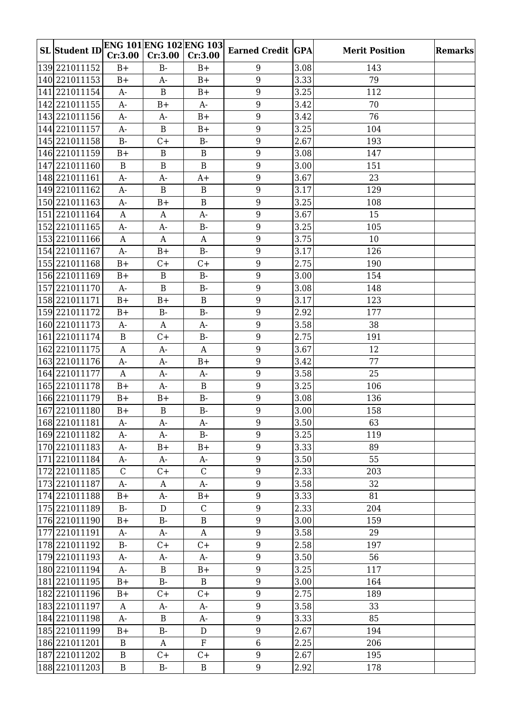| <b>SL</b> Student ID |                  |              | <b>ENG 101 ENG 102 ENG 103</b> | <b>Earned Credit GPA</b> |      | <b>Merit Position</b> | Remarks |
|----------------------|------------------|--------------|--------------------------------|--------------------------|------|-----------------------|---------|
|                      | Cr:3.00          | Cr:3.00      | Cr:3.00                        |                          |      |                       |         |
| 139 221011152        | $B+$             | $B -$        | $B+$                           | 9                        | 3.08 | 143                   |         |
| 140 221011153        | $B+$             | $A-$         | $B+$                           | 9                        | 3.33 | 79                    |         |
| 141 221011154        | $A-$             | $\mathbf B$  | $B+$                           | 9                        | 3.25 | 112                   |         |
| 142 221011155        | $A-$             | $B+$         | $A-$                           | 9                        | 3.42 | 70                    |         |
| 143 221011156        | $A-$             | A-           | $B+$                           | 9                        | 3.42 | 76                    |         |
| 144 221011157        | $A-$             | $\, {\bf B}$ | $B+$                           | 9                        | 3.25 | 104                   |         |
| 145 221011158        | $B -$            | $C +$        | $B -$                          | 9                        | 2.67 | 193                   |         |
| 146 221011159        | $B+$             | B            | B                              | 9                        | 3.08 | 147                   |         |
| 147 221011160        | $\, {\bf B}$     | $\, {\bf B}$ | $\, {\bf B}$                   | 9                        | 3.00 | 151                   |         |
| 148 221011161        | $A-$             | $A-$         | $A+$                           | 9                        | 3.67 | 23                    |         |
| 149 221011162        | A-               | B            | B                              | 9                        | 3.17 | 129                   |         |
| 150 2210 11163       | $A-$             | $B+$         | $\, {\bf B}$                   | 9                        | 3.25 | 108                   |         |
| 151 221011164        | $\boldsymbol{A}$ | A            | $A-$                           | 9                        | 3.67 | 15                    |         |
| 152 221011165        | $A-$             | $A-$         | $B-$                           | 9                        | 3.25 | 105                   |         |
| 153 221011166        | $\boldsymbol{A}$ | A            | A                              | 9                        | 3.75 | 10                    |         |
| 154 221011167        | $A-$             | $B+$         | $B -$                          | 9                        | 3.17 | 126                   |         |
| 155 221011168        | $B+$             | $C +$        | $C +$                          | 9                        | 2.75 | 190                   |         |
| 156 221011169        | $B+$             | $\, {\bf B}$ | $B-$                           | 9                        | 3.00 | 154                   |         |
| 157 221011170        | $A-$             | $\, {\bf B}$ | $B -$                          | 9                        | 3.08 | 148                   |         |
| 158 221011171        | $B+$             | $B+$         | $\mathbf{B}$                   | 9                        | 3.17 | 123                   |         |
| 159 221011172        | $B+$             | <b>B-</b>    | <b>B-</b>                      | 9                        | 2.92 | 177                   |         |
| 160 2210 11173       | $A-$             | $\mathbf{A}$ | $A-$                           | 9                        | 3.58 | 38                    |         |
| 161 221011174        | $\mathbf B$      | $C +$        | <b>B-</b>                      | $9\,$                    | 2.75 | 191                   |         |
| 162 221011175        | $\mathbf{A}$     | $A-$         | $\boldsymbol{A}$               | 9                        | 3.67 | 12                    |         |
| 163 221011176        | $A-$             | $A-$         | $B+$                           | 9                        | 3.42 | 77                    |         |
| 164 221011177        | $\mathbf{A}$     | $A-$         | $A-$                           | $9\phantom{.}$           | 3.58 | 25                    |         |
| 165 221011178        | $B+$             | $A-$         | B                              | 9                        | 3.25 | 106                   |         |
| 166 221011179        | $B+$             | $B+$         | $B-$                           | $9\,$                    | 3.08 | 136                   |         |
| 167 221011180        | $B+$             | $\bf{B}$     | $B-$                           | 9                        | 3.00 | 158                   |         |
| 168 221011181        | $A-$             | $A-$         | $A-$                           | $\overline{9}$           | 3.50 | 63                    |         |
| 169 221011182        | A-               | A-           | <b>B-</b>                      | 9                        | 3.25 | 119                   |         |
| 170 2210 11183       | A-               | $B+$         | $B+$                           | 9                        | 3.33 | 89                    |         |
| 171 221011184        | A-               | $A-$         | $A-$                           | 9                        | 3.50 | 55                    |         |
| 172 221011185        | $\mathsf{C}$     | $C+$         | $\mathsf{C}$                   | $9\phantom{.0}$          | 2.33 | 203                   |         |
| 173 221011187        | $A-$             | A            | $A-$                           | 9                        | 3.58 | 32                    |         |
| 174 221011188        | $B+$             | A-           | $B+$                           | $\boldsymbol{9}$         | 3.33 | 81                    |         |
| 175 221011189        | $B-$             | ${\rm D}$    | $\mathsf{C}$                   | $9\phantom{.0}$          | 2.33 | 204                   |         |
| 176 221011190        | $B+$             | $B -$        | $\mathbf{B}$                   | 9                        | 3.00 | 159                   |         |
| 177 221011191        | A-               | A-           | A                              | $9\phantom{.0}$          | 3.58 | 29                    |         |
| 178 221011192        | $B-$             | $C+$         | $C+$                           | 9                        | 2.58 | 197                   |         |
| 179 221011193        | A-               | A-           | $A-$                           | 9                        | 3.50 | 56                    |         |
| 180 2210 11194       | A-               | B            | $B+$                           | 9                        | 3.25 | 117                   |         |
| 181 221011195        | $B+$             | $B-$         | B                              | 9                        | 3.00 | 164                   |         |
| 182 221011196        | $B+$             | $C+$         | $C+$                           | $9\phantom{.0}$          | 2.75 | 189                   |         |
| 183  221011197       | A                | A-           | A-                             | 9                        | 3.58 | 33                    |         |
| 184 221011198        | A-               | $\, {\bf B}$ | A-                             | 9                        | 3.33 | 85                    |         |
| 185 221011199        | $B+$             | $B-$         | D                              | $\overline{9}$           | 2.67 | 194                   |         |
| 186 221011201        | B                | A            | $_{\rm F}$                     | 6                        | 2.25 | 206                   |         |
| 187 221011202        | $\, {\bf B}$     | $C +$        | $C +$                          | 9                        | 2.67 | 195                   |         |
| 188 221011203        | $\mathbf B$      | $B-$         | B                              | 9                        | 2.92 | 178                   |         |